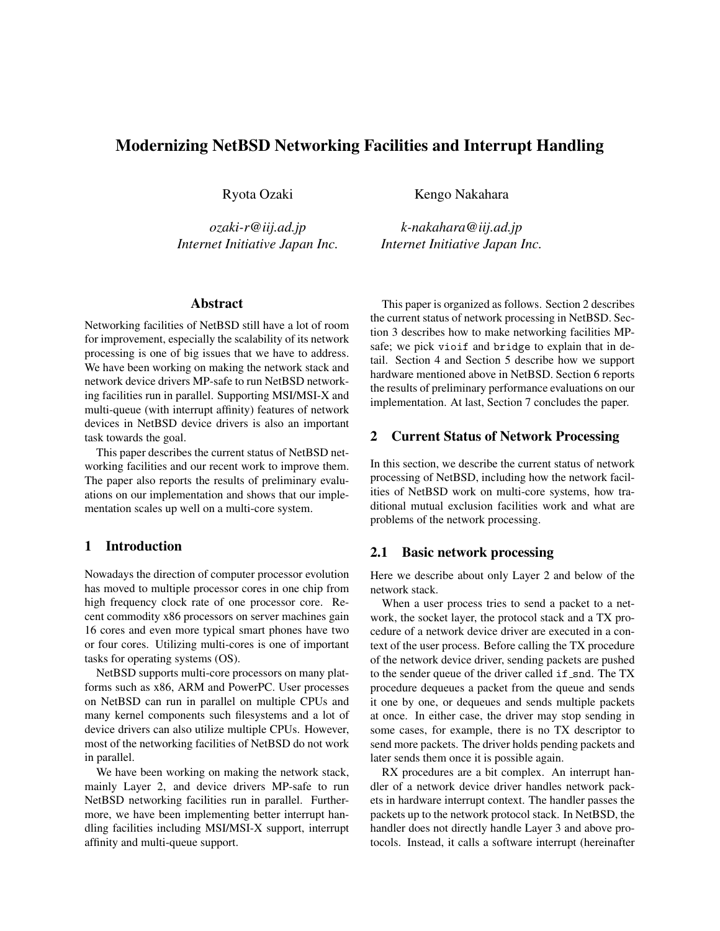# Modernizing NetBSD Networking Facilities and Interrupt Handling

Ryota Ozaki

*ozaki-r@iij.ad.jp Internet Initiative Japan Inc.*

## Abstract

Networking facilities of NetBSD still have a lot of room for improvement, especially the scalability of its network processing is one of big issues that we have to address. We have been working on making the network stack and network device drivers MP-safe to run NetBSD networking facilities run in parallel. Supporting MSI/MSI-X and multi-queue (with interrupt affinity) features of network devices in NetBSD device drivers is also an important task towards the goal.

This paper describes the current status of NetBSD networking facilities and our recent work to improve them. The paper also reports the results of preliminary evaluations on our implementation and shows that our implementation scales up well on a multi-core system.

## 1 Introduction

Nowadays the direction of computer processor evolution has moved to multiple processor cores in one chip from high frequency clock rate of one processor core. Recent commodity x86 processors on server machines gain 16 cores and even more typical smart phones have two or four cores. Utilizing multi-cores is one of important tasks for operating systems (OS).

NetBSD supports multi-core processors on many platforms such as x86, ARM and PowerPC. User processes on NetBSD can run in parallel on multiple CPUs and many kernel components such filesystems and a lot of device drivers can also utilize multiple CPUs. However, most of the networking facilities of NetBSD do not work in parallel.

We have been working on making the network stack, mainly Layer 2, and device drivers MP-safe to run NetBSD networking facilities run in parallel. Furthermore, we have been implementing better interrupt handling facilities including MSI/MSI-X support, interrupt affinity and multi-queue support.

Kengo Nakahara

*k-nakahara@iij.ad.jp Internet Initiative Japan Inc.*

This paper is organized as follows. Section 2 describes the current status of network processing in NetBSD. Section 3 describes how to make networking facilities MPsafe; we pick vioif and bridge to explain that in detail. Section 4 and Section 5 describe how we support hardware mentioned above in NetBSD. Section 6 reports the results of preliminary performance evaluations on our implementation. At last, Section 7 concludes the paper.

## 2 Current Status of Network Processing

In this section, we describe the current status of network processing of NetBSD, including how the network facilities of NetBSD work on multi-core systems, how traditional mutual exclusion facilities work and what are problems of the network processing.

## 2.1 Basic network processing

Here we describe about only Layer 2 and below of the network stack.

When a user process tries to send a packet to a network, the socket layer, the protocol stack and a TX procedure of a network device driver are executed in a context of the user process. Before calling the TX procedure of the network device driver, sending packets are pushed to the sender queue of the driver called if snd. The TX procedure dequeues a packet from the queue and sends it one by one, or dequeues and sends multiple packets at once. In either case, the driver may stop sending in some cases, for example, there is no TX descriptor to send more packets. The driver holds pending packets and later sends them once it is possible again.

RX procedures are a bit complex. An interrupt handler of a network device driver handles network packets in hardware interrupt context. The handler passes the packets up to the network protocol stack. In NetBSD, the handler does not directly handle Layer 3 and above protocols. Instead, it calls a software interrupt (hereinafter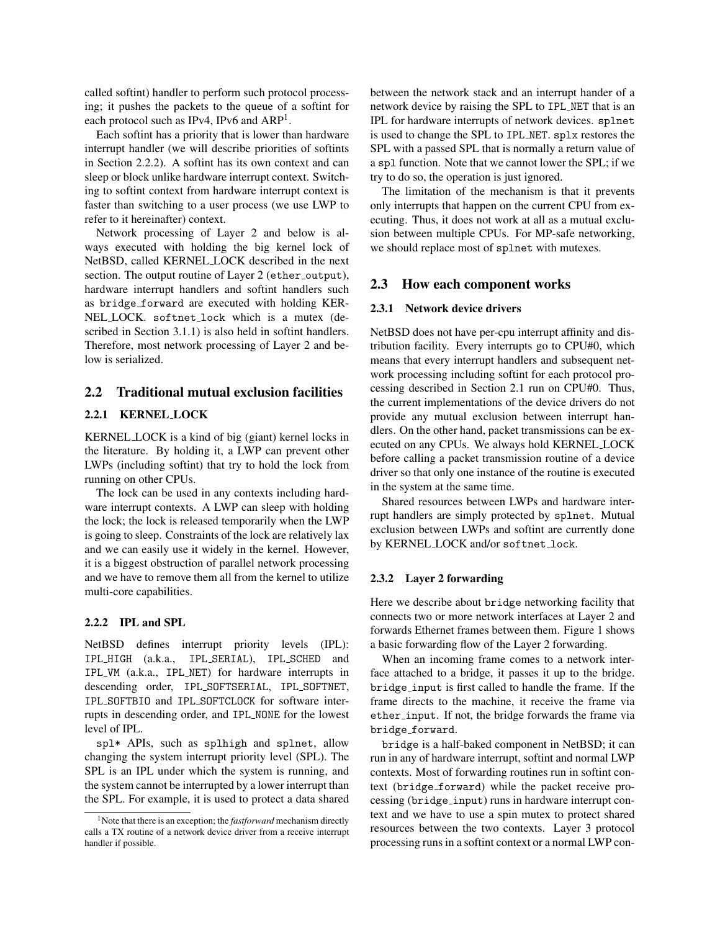called softint) handler to perform such protocol processing; it pushes the packets to the queue of a softint for each protocol such as IPv4, IPv6 and ARP<sup>1</sup>.

Each softint has a priority that is lower than hardware interrupt handler (we will describe priorities of softints in Section 2.2.2). A softint has its own context and can sleep or block unlike hardware interrupt context. Switching to softint context from hardware interrupt context is faster than switching to a user process (we use LWP to refer to it hereinafter) context.

Network processing of Layer 2 and below is always executed with holding the big kernel lock of NetBSD, called KERNEL LOCK described in the next section. The output routine of Layer 2 (ether\_output), hardware interrupt handlers and softint handlers such as bridge forward are executed with holding KER-NEL LOCK. softnet lock which is a mutex (described in Section 3.1.1) is also held in softint handlers. Therefore, most network processing of Layer 2 and below is serialized.

## 2.2 Traditional mutual exclusion facilities

### 2.2.1 KERNEL LOCK

KERNEL LOCK is a kind of big (giant) kernel locks in the literature. By holding it, a LWP can prevent other LWPs (including softint) that try to hold the lock from running on other CPUs.

The lock can be used in any contexts including hardware interrupt contexts. A LWP can sleep with holding the lock; the lock is released temporarily when the LWP is going to sleep. Constraints of the lock are relatively lax and we can easily use it widely in the kernel. However, it is a biggest obstruction of parallel network processing and we have to remove them all from the kernel to utilize multi-core capabilities.

### 2.2.2 IPL and SPL

NetBSD defines interrupt priority levels (IPL): IPL HIGH (a.k.a., IPL SERIAL), IPL SCHED and IPL VM (a.k.a., IPL NET) for hardware interrupts in descending order, IPL SOFTSERIAL, IPL SOFTNET, IPL SOFTBIO and IPL SOFTCLOCK for software interrupts in descending order, and IPL NONE for the lowest level of IPL.

spl\* APIs, such as splhigh and splnet, allow changing the system interrupt priority level (SPL). The SPL is an IPL under which the system is running, and the system cannot be interrupted by a lower interrupt than the SPL. For example, it is used to protect a data shared between the network stack and an interrupt hander of a network device by raising the SPL to IPL NET that is an IPL for hardware interrupts of network devices. splnet is used to change the SPL to IPL NET. splx restores the SPL with a passed SPL that is normally a return value of a spl function. Note that we cannot lower the SPL; if we try to do so, the operation is just ignored.

The limitation of the mechanism is that it prevents only interrupts that happen on the current CPU from executing. Thus, it does not work at all as a mutual exclusion between multiple CPUs. For MP-safe networking, we should replace most of splnet with mutexes.

## 2.3 How each component works

### 2.3.1 Network device drivers

NetBSD does not have per-cpu interrupt affinity and distribution facility. Every interrupts go to CPU#0, which means that every interrupt handlers and subsequent network processing including softint for each protocol processing described in Section 2.1 run on CPU#0. Thus, the current implementations of the device drivers do not provide any mutual exclusion between interrupt handlers. On the other hand, packet transmissions can be executed on any CPUs. We always hold KERNEL LOCK before calling a packet transmission routine of a device driver so that only one instance of the routine is executed in the system at the same time.

Shared resources between LWPs and hardware interrupt handlers are simply protected by splnet. Mutual exclusion between LWPs and softint are currently done by KERNEL LOCK and/or softnet lock.

#### 2.3.2 Layer 2 forwarding

Here we describe about bridge networking facility that connects two or more network interfaces at Layer 2 and forwards Ethernet frames between them. Figure 1 shows a basic forwarding flow of the Layer 2 forwarding.

When an incoming frame comes to a network interface attached to a bridge, it passes it up to the bridge. bridge input is first called to handle the frame. If the frame directs to the machine, it receive the frame via ether\_input. If not, the bridge forwards the frame via bridge\_forward.

bridge is a half-baked component in NetBSD; it can run in any of hardware interrupt, softint and normal LWP contexts. Most of forwarding routines run in softint context (bridge forward) while the packet receive processing (bridge input) runs in hardware interrupt context and we have to use a spin mutex to protect shared resources between the two contexts. Layer 3 protocol processing runs in a softint context or a normal LWP con-

<sup>1</sup>Note that there is an exception; the *fastforward* mechanism directly calls a TX routine of a network device driver from a receive interrupt handler if possible.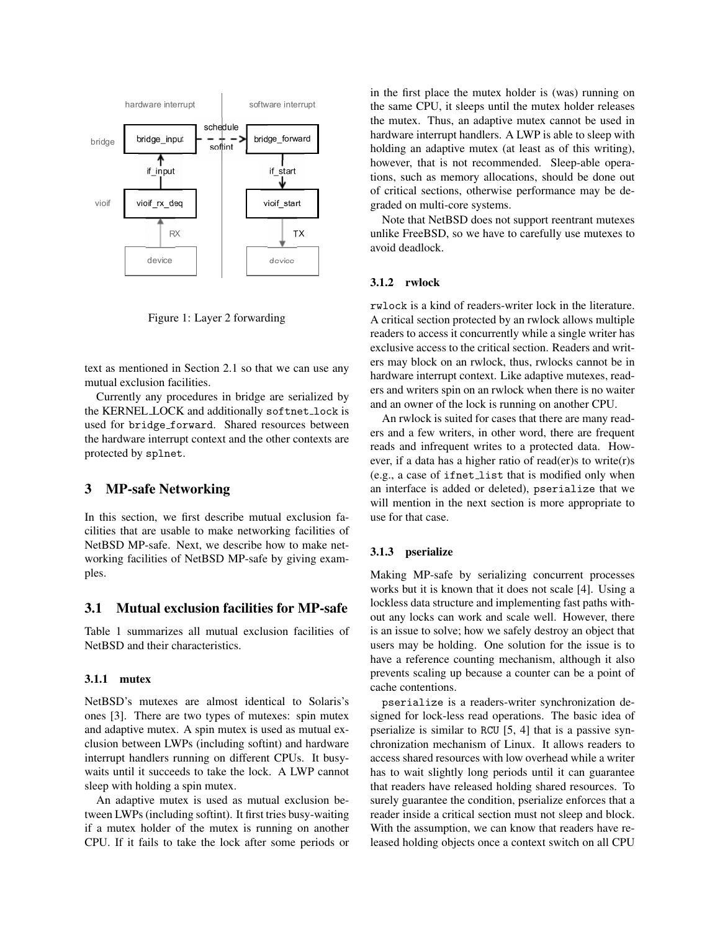

Figure 1: Layer 2 forwarding

text as mentioned in Section 2.1 so that we can use any mutual exclusion facilities.

Currently any procedures in bridge are serialized by the KERNEL LOCK and additionally softnet lock is used for bridge forward. Shared resources between the hardware interrupt context and the other contexts are protected by splnet.

# 3 MP-safe Networking

In this section, we first describe mutual exclusion facilities that are usable to make networking facilities of NetBSD MP-safe. Next, we describe how to make networking facilities of NetBSD MP-safe by giving examples.

## 3.1 Mutual exclusion facilities for MP-safe

Table 1 summarizes all mutual exclusion facilities of NetBSD and their characteristics.

### 3.1.1 mutex

NetBSD's mutexes are almost identical to Solaris's ones [3]. There are two types of mutexes: spin mutex and adaptive mutex. A spin mutex is used as mutual exclusion between LWPs (including softint) and hardware interrupt handlers running on different CPUs. It busywaits until it succeeds to take the lock. A LWP cannot sleep with holding a spin mutex.

An adaptive mutex is used as mutual exclusion between LWPs (including softint). It first tries busy-waiting if a mutex holder of the mutex is running on another CPU. If it fails to take the lock after some periods or in the first place the mutex holder is (was) running on the same CPU, it sleeps until the mutex holder releases the mutex. Thus, an adaptive mutex cannot be used in hardware interrupt handlers. A LWP is able to sleep with holding an adaptive mutex (at least as of this writing), however, that is not recommended. Sleep-able operations, such as memory allocations, should be done out of critical sections, otherwise performance may be degraded on multi-core systems.

Note that NetBSD does not support reentrant mutexes unlike FreeBSD, so we have to carefully use mutexes to avoid deadlock.

#### 3.1.2 rwlock

rwlock is a kind of readers-writer lock in the literature. A critical section protected by an rwlock allows multiple readers to access it concurrently while a single writer has exclusive access to the critical section. Readers and writers may block on an rwlock, thus, rwlocks cannot be in hardware interrupt context. Like adaptive mutexes, readers and writers spin on an rwlock when there is no waiter and an owner of the lock is running on another CPU.

An rwlock is suited for cases that there are many readers and a few writers, in other word, there are frequent reads and infrequent writes to a protected data. However, if a data has a higher ratio of read(er)s to write(r)s (e.g., a case of ifnet list that is modified only when an interface is added or deleted), pserialize that we will mention in the next section is more appropriate to use for that case.

### 3.1.3 pserialize

Making MP-safe by serializing concurrent processes works but it is known that it does not scale [4]. Using a lockless data structure and implementing fast paths without any locks can work and scale well. However, there is an issue to solve; how we safely destroy an object that users may be holding. One solution for the issue is to have a reference counting mechanism, although it also prevents scaling up because a counter can be a point of cache contentions.

pserialize is a readers-writer synchronization designed for lock-less read operations. The basic idea of pserialize is similar to RCU [5, 4] that is a passive synchronization mechanism of Linux. It allows readers to access shared resources with low overhead while a writer has to wait slightly long periods until it can guarantee that readers have released holding shared resources. To surely guarantee the condition, pserialize enforces that a reader inside a critical section must not sleep and block. With the assumption, we can know that readers have released holding objects once a context switch on all CPU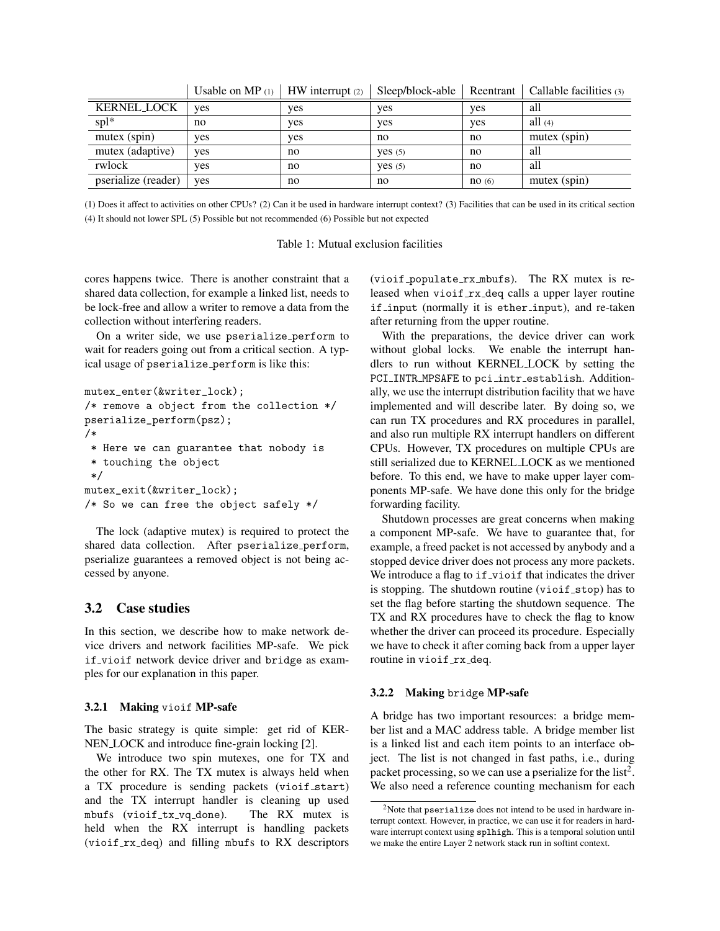|                     | Usable on $MP(1)$ | $H$ W interrupt $(2)$ | Sleep/block-able | Reentrant | Caliable facilities (3) |
|---------------------|-------------------|-----------------------|------------------|-----------|-------------------------|
| <b>KERNEL_LOCK</b>  | ves               | ves                   | yes              | ves       | all                     |
| $spl*$              | no                | ves                   | yes              | ves       | all $(4)$               |
| mutex (spin)        | yes               | yes                   | no               | no        | mutex (spin)            |
| mutex (adaptive)    | ves               | no                    | Yes(5)           | no        | all                     |
| rwlock              | ves               | no                    | Yes(5)           | no        | all                     |
| pserialize (reader) | ves               | no                    | no               | no(6)     | mutex (spin)            |

Usable on MP (1) HW interrupt (2) Sleep/block-able Reentrant | Callable facilities (3)

(1) Does it affect to activities on other CPUs? (2) Can it be used in hardware interrupt context? (3) Facilities that can be used in its critical section (4) It should not lower SPL (5) Possible but not recommended (6) Possible but not expected

| Table 1: Mutual exclusion facilities |  |
|--------------------------------------|--|
|--------------------------------------|--|

cores happens twice. There is another constraint that a shared data collection, for example a linked list, needs to be lock-free and allow a writer to remove a data from the collection without interfering readers.

On a writer side, we use pserialize\_perform to wait for readers going out from a critical section. A typical usage of pserialize\_perform is like this:

```
mutex_enter(&writer_lock);
/* remove a object from the collection */
pserialize_perform(psz);
/*
 * Here we can guarantee that nobody is
 * touching the object
 */
mutex_exit(&writer_lock);
/* So we can free the object safely */
```
The lock (adaptive mutex) is required to protect the shared data collection. After pserialize\_perform, pserialize guarantees a removed object is not being accessed by anyone.

# 3.2 Case studies

In this section, we describe how to make network device drivers and network facilities MP-safe. We pick if vioif network device driver and bridge as examples for our explanation in this paper.

#### 3.2.1 Making vioif MP-safe

The basic strategy is quite simple: get rid of KER-NEN LOCK and introduce fine-grain locking [2].

We introduce two spin mutexes, one for TX and the other for RX. The TX mutex is always held when a TX procedure is sending packets (vioif\_start) and the TX interrupt handler is cleaning up used mbufs (vioif tx vq done). The RX mutex is held when the RX interrupt is handling packets (vioif rx deq) and filling mbufs to RX descriptors (vioif populate rx mbufs). The RX mutex is released when vioif rx deq calls a upper layer routine if input (normally it is ether input), and re-taken after returning from the upper routine.

With the preparations, the device driver can work without global locks. We enable the interrupt handlers to run without KERNEL LOCK by setting the PCI\_INTR\_MPSAFE to pci\_intr\_establish. Additionally, we use the interrupt distribution facility that we have implemented and will describe later. By doing so, we can run TX procedures and RX procedures in parallel, and also run multiple RX interrupt handlers on different CPUs. However, TX procedures on multiple CPUs are still serialized due to KERNEL LOCK as we mentioned before. To this end, we have to make upper layer components MP-safe. We have done this only for the bridge forwarding facility.

Shutdown processes are great concerns when making a component MP-safe. We have to guarantee that, for example, a freed packet is not accessed by anybody and a stopped device driver does not process any more packets. We introduce a flag to if\_vioif that indicates the driver is stopping. The shutdown routine (vioif  $_{\text{stop}}$ ) has to set the flag before starting the shutdown sequence. The TX and RX procedures have to check the flag to know whether the driver can proceed its procedure. Especially we have to check it after coming back from a upper layer routine in vioif rx\_deq.

### 3.2.2 Making bridge MP-safe

A bridge has two important resources: a bridge member list and a MAC address table. A bridge member list is a linked list and each item points to an interface object. The list is not changed in fast paths, i.e., during packet processing, so we can use a pserialize for the list<sup>2</sup>. We also need a reference counting mechanism for each

<sup>2</sup>Note that pserialize does not intend to be used in hardware interrupt context. However, in practice, we can use it for readers in hardware interrupt context using splhigh. This is a temporal solution until we make the entire Layer 2 network stack run in softint context.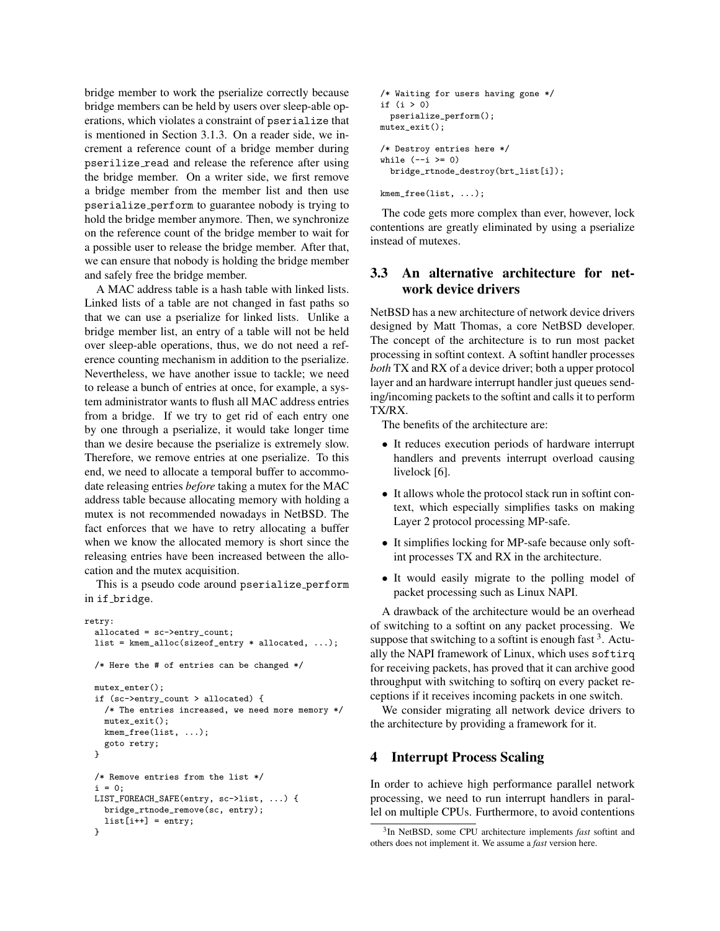bridge member to work the pserialize correctly because bridge members can be held by users over sleep-able operations, which violates a constraint of pserialize that is mentioned in Section 3.1.3. On a reader side, we increment a reference count of a bridge member during pserilize read and release the reference after using the bridge member. On a writer side, we first remove a bridge member from the member list and then use pserialize perform to guarantee nobody is trying to hold the bridge member anymore. Then, we synchronize on the reference count of the bridge member to wait for a possible user to release the bridge member. After that, we can ensure that nobody is holding the bridge member and safely free the bridge member.

A MAC address table is a hash table with linked lists. Linked lists of a table are not changed in fast paths so that we can use a pserialize for linked lists. Unlike a bridge member list, an entry of a table will not be held over sleep-able operations, thus, we do not need a reference counting mechanism in addition to the pserialize. Nevertheless, we have another issue to tackle; we need to release a bunch of entries at once, for example, a system administrator wants to flush all MAC address entries from a bridge. If we try to get rid of each entry one by one through a pserialize, it would take longer time than we desire because the pserialize is extremely slow. Therefore, we remove entries at one pserialize. To this end, we need to allocate a temporal buffer to accommodate releasing entries *before* taking a mutex for the MAC address table because allocating memory with holding a mutex is not recommended nowadays in NetBSD. The fact enforces that we have to retry allocating a buffer when we know the allocated memory is short since the releasing entries have been increased between the allocation and the mutex acquisition.

This is a pseudo code around pserialize\_perform in if bridge.

```
retry:
 allocated = sc->entry_count;
 list = kmem_alloc(sizeof_entry * allocated, ...);
 /* Here the # of entries can be changed */
 mutex_enter();
 if (sc->entry_count > allocated) {
   /* The entries increased, we need more memory */
   mutex exit():
   kmem_free(list, ...);
   goto retry;
 }
 /* Remove entries from the list */
 i = 0:
 LIST_FOREACH_SAFE(entry, sc->list, ...) {
   bridge_rtnode_remove(sc, entry);
   list[i++] = entry;}
```

```
/* Waiting for users having gone */
if (i > 0)
 pserialize_perform();
mutex_exit();
/* Destroy entries here */
while (-i \ge 0)bridge_rtnode_destroy(brt_list[i]);
```
kmem\_free(list, ...);

The code gets more complex than ever, however, lock contentions are greatly eliminated by using a pserialize instead of mutexes.

# 3.3 An alternative architecture for network device drivers

NetBSD has a new architecture of network device drivers designed by Matt Thomas, a core NetBSD developer. The concept of the architecture is to run most packet processing in softint context. A softint handler processes *both* TX and RX of a device driver; both a upper protocol layer and an hardware interrupt handler just queues sending/incoming packets to the softint and calls it to perform TX/RX.

The benefits of the architecture are:

- It reduces execution periods of hardware interrupt handlers and prevents interrupt overload causing livelock [6].
- It allows whole the protocol stack run in softint context, which especially simplifies tasks on making Layer 2 protocol processing MP-safe.
- It simplifies locking for MP-safe because only softint processes TX and RX in the architecture.
- It would easily migrate to the polling model of packet processing such as Linux NAPI.

A drawback of the architecture would be an overhead of switching to a softint on any packet processing. We suppose that switching to a softint is enough fast  $3$ . Actually the NAPI framework of Linux, which uses softirq for receiving packets, has proved that it can archive good throughput with switching to softirq on every packet receptions if it receives incoming packets in one switch.

We consider migrating all network device drivers to the architecture by providing a framework for it.

## 4 Interrupt Process Scaling

In order to achieve high performance parallel network processing, we need to run interrupt handlers in parallel on multiple CPUs. Furthermore, to avoid contentions

<sup>3</sup> In NetBSD, some CPU architecture implements *fast* softint and others does not implement it. We assume a *fast* version here.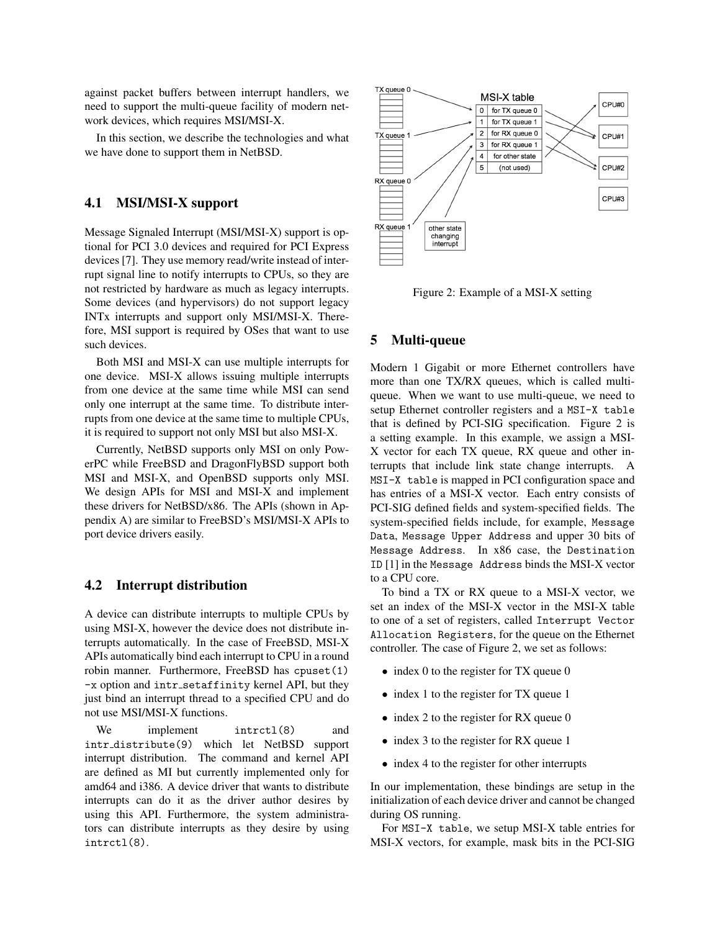against packet buffers between interrupt handlers, we need to support the multi-queue facility of modern network devices, which requires MSI/MSI-X.

In this section, we describe the technologies and what we have done to support them in NetBSD.

## 4.1 MSI/MSI-X support

Message Signaled Interrupt (MSI/MSI-X) support is optional for PCI 3.0 devices and required for PCI Express devices [7]. They use memory read/write instead of interrupt signal line to notify interrupts to CPUs, so they are not restricted by hardware as much as legacy interrupts. Some devices (and hypervisors) do not support legacy INTx interrupts and support only MSI/MSI-X. Therefore, MSI support is required by OSes that want to use such devices.

Both MSI and MSI-X can use multiple interrupts for one device. MSI-X allows issuing multiple interrupts from one device at the same time while MSI can send only one interrupt at the same time. To distribute interrupts from one device at the same time to multiple CPUs, it is required to support not only MSI but also MSI-X.

Currently, NetBSD supports only MSI on only PowerPC while FreeBSD and DragonFlyBSD support both MSI and MSI-X, and OpenBSD supports only MSI. We design APIs for MSI and MSI-X and implement these drivers for NetBSD/x86. The APIs (shown in Appendix A) are similar to FreeBSD's MSI/MSI-X APIs to port device drivers easily.

## 4.2 Interrupt distribution

A device can distribute interrupts to multiple CPUs by using MSI-X, however the device does not distribute interrupts automatically. In the case of FreeBSD, MSI-X APIs automatically bind each interrupt to CPU in a round robin manner. Furthermore, FreeBSD has cpuset(1) -x option and intr setaffinity kernel API, but they just bind an interrupt thread to a specified CPU and do not use MSI/MSI-X functions.

We implement intrct1(8) and intr distribute(9) which let NetBSD support interrupt distribution. The command and kernel API are defined as MI but currently implemented only for amd64 and i386. A device driver that wants to distribute interrupts can do it as the driver author desires by using this API. Furthermore, the system administrators can distribute interrupts as they desire by using intrctl(8).



Figure 2: Example of a MSI-X setting

## 5 Multi-queue

Modern 1 Gigabit or more Ethernet controllers have more than one TX/RX queues, which is called multiqueue. When we want to use multi-queue, we need to setup Ethernet controller registers and a MSI-X table that is defined by PCI-SIG specification. Figure 2 is a setting example. In this example, we assign a MSI-X vector for each TX queue, RX queue and other interrupts that include link state change interrupts. A MSI-X table is mapped in PCI configuration space and has entries of a MSI-X vector. Each entry consists of PCI-SIG defined fields and system-specified fields. The system-specified fields include, for example, Message Data, Message Upper Address and upper 30 bits of Message Address. In x86 case, the Destination ID [1] in the Message Address binds the MSI-X vector to a CPU core.

To bind a TX or RX queue to a MSI-X vector, we set an index of the MSI-X vector in the MSI-X table to one of a set of registers, called Interrupt Vector Allocation Registers, for the queue on the Ethernet controller. The case of Figure 2, we set as follows:

- index 0 to the register for TX queue 0
- index 1 to the register for TX queue 1
- index 2 to the register for RX queue 0
- index 3 to the register for RX queue 1
- index 4 to the register for other interrupts

In our implementation, these bindings are setup in the initialization of each device driver and cannot be changed during OS running.

For MSI-X table, we setup MSI-X table entries for MSI-X vectors, for example, mask bits in the PCI-SIG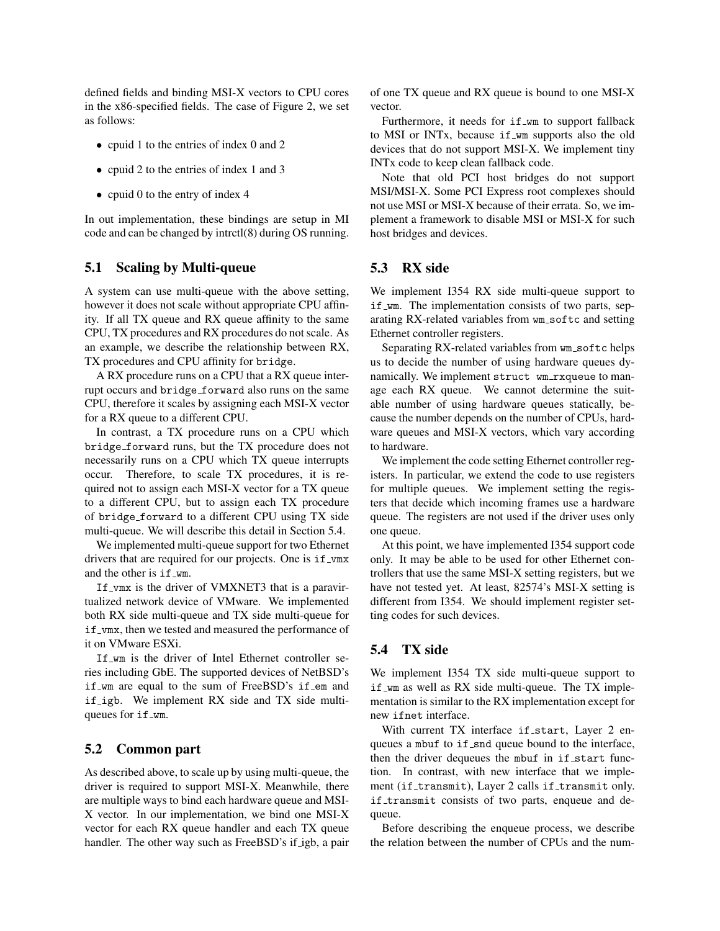defined fields and binding MSI-X vectors to CPU cores in the x86-specified fields. The case of Figure 2, we set as follows:

- cpuid 1 to the entries of index 0 and 2
- cpuid 2 to the entries of index 1 and 3
- cpuid 0 to the entry of index 4

In out implementation, these bindings are setup in MI code and can be changed by intrctl(8) during OS running.

## 5.1 Scaling by Multi-queue

A system can use multi-queue with the above setting, however it does not scale without appropriate CPU affinity. If all TX queue and RX queue affinity to the same CPU, TX procedures and RX procedures do not scale. As an example, we describe the relationship between RX, TX procedures and CPU affinity for bridge.

A RX procedure runs on a CPU that a RX queue interrupt occurs and bridge\_forward also runs on the same CPU, therefore it scales by assigning each MSI-X vector for a RX queue to a different CPU.

In contrast, a TX procedure runs on a CPU which bridge forward runs, but the TX procedure does not necessarily runs on a CPU which TX queue interrupts occur. Therefore, to scale TX procedures, it is required not to assign each MSI-X vector for a TX queue to a different CPU, but to assign each TX procedure of bridge forward to a different CPU using TX side multi-queue. We will describe this detail in Section 5.4.

We implemented multi-queue support for two Ethernet drivers that are required for our projects. One is if \_vmx and the other is if wm.

If vmx is the driver of VMXNET3 that is a paravirtualized network device of VMware. We implemented both RX side multi-queue and TX side multi-queue for if \_vmx, then we tested and measured the performance of it on VMware ESXi.

If wm is the driver of Intel Ethernet controller series including GbE. The supported devices of NetBSD's if wm are equal to the sum of FreeBSD's if em and if igb. We implement RX side and TX side multiqueues for if\_wm.

## 5.2 Common part

As described above, to scale up by using multi-queue, the driver is required to support MSI-X. Meanwhile, there are multiple ways to bind each hardware queue and MSI-X vector. In our implementation, we bind one MSI-X vector for each RX queue handler and each TX queue handler. The other way such as FreeBSD's if igb, a pair of one TX queue and RX queue is bound to one MSI-X vector.

Furthermore, it needs for if\_wm to support fallback to MSI or INTx, because if wm supports also the old devices that do not support MSI-X. We implement tiny INTx code to keep clean fallback code.

Note that old PCI host bridges do not support MSI/MSI-X. Some PCI Express root complexes should not use MSI or MSI-X because of their errata. So, we implement a framework to disable MSI or MSI-X for such host bridges and devices.

# 5.3 RX side

We implement I354 RX side multi-queue support to if wm. The implementation consists of two parts, separating RX-related variables from wm softc and setting Ethernet controller registers.

Separating RX-related variables from wm softc helps us to decide the number of using hardware queues dynamically. We implement struct wm\_rxqueue to manage each RX queue. We cannot determine the suitable number of using hardware queues statically, because the number depends on the number of CPUs, hardware queues and MSI-X vectors, which vary according to hardware.

We implement the code setting Ethernet controller registers. In particular, we extend the code to use registers for multiple queues. We implement setting the registers that decide which incoming frames use a hardware queue. The registers are not used if the driver uses only one queue.

At this point, we have implemented I354 support code only. It may be able to be used for other Ethernet controllers that use the same MSI-X setting registers, but we have not tested yet. At least, 82574's MSI-X setting is different from I354. We should implement register setting codes for such devices.

## 5.4 TX side

We implement I354 TX side multi-queue support to if wm as well as RX side multi-queue. The TX implementation is similar to the RX implementation except for new ifnet interface.

With current TX interface if\_start, Layer 2 enqueues a mbuf to if\_snd queue bound to the interface, then the driver dequeues the mbuf in if start function. In contrast, with new interface that we implement (if\_transmit), Layer 2 calls if\_transmit only. if transmit consists of two parts, enqueue and dequeue.

Before describing the enqueue process, we describe the relation between the number of CPUs and the num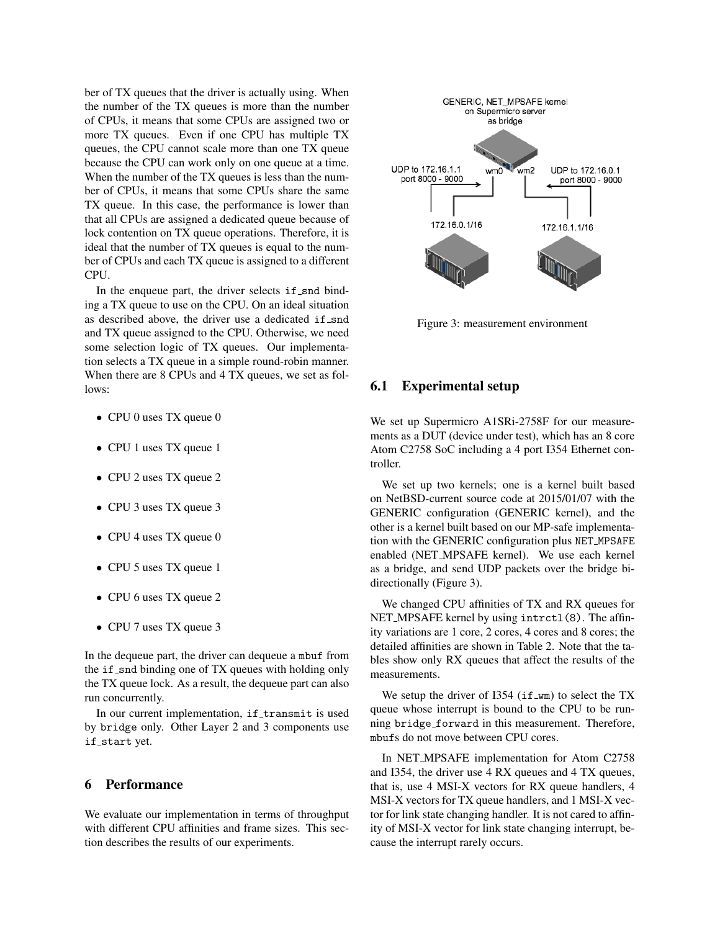ber of TX queues that the driver is actually using. When the number of the TX queues is more than the number of CPUs, it means that some CPUs are assigned two or more TX queues. Even if one CPU has multiple TX queues, the CPU cannot scale more than one TX queue because the CPU can work only on one queue at a time. When the number of the TX queues is less than the number of CPUs, it means that some CPUs share the same TX queue. In this case, the performance is lower than that all CPUs are assigned a dedicated queue because of lock contention on TX queue operations. Therefore, it is ideal that the number of TX queues is equal to the number of CPUs and each TX queue is assigned to a different CPU.

In the enqueue part, the driver selects  $if\_snd$  binding a TX queue to use on the CPU. On an ideal situation as described above, the driver use a dedicated if snd and TX queue assigned to the CPU. Otherwise, we need some selection logic of TX queues. Our implementation selects a TX queue in a simple round-robin manner. When there are 8 CPUs and 4 TX queues, we set as follows:

- CPU 0 uses TX queue 0
- CPU 1 uses TX queue 1
- CPU 2 uses TX queue 2
- CPU 3 uses TX queue 3
- CPU 4 uses TX queue 0
- CPU 5 uses TX queue 1
- CPU 6 uses TX queue 2
- CPU 7 uses TX queue 3

In the dequeue part, the driver can dequeue a mbuf from the if snd binding one of TX queues with holding only the TX queue lock. As a result, the dequeue part can also run concurrently.

In our current implementation, if transmit is used by bridge only. Other Layer 2 and 3 components use if\_start yet.

## 6 Performance

We evaluate our implementation in terms of throughput with different CPU affinities and frame sizes. This section describes the results of our experiments.



Figure 3: measurement environment

## 6.1 Experimental setup

We set up Supermicro A1SRi-2758F for our measurements as a DUT (device under test), which has an 8 core Atom C2758 SoC including a 4 port I354 Ethernet controller.

We set up two kernels; one is a kernel built based on NetBSD-current source code at 2015/01/07 with the GENERIC configuration (GENERIC kernel), and the other is a kernel built based on our MP-safe implementation with the GENERIC configuration plus NET MPSAFE enabled (NET MPSAFE kernel). We use each kernel as a bridge, and send UDP packets over the bridge bidirectionally (Figure 3).

We changed CPU affinities of TX and RX queues for NET\_MPSAFE kernel by using intrct1(8). The affinity variations are 1 core, 2 cores, 4 cores and 8 cores; the detailed affinities are shown in Table 2. Note that the tables show only RX queues that affect the results of the measurements.

We setup the driver of I354 ( $if_{w}$ m) to select the TX queue whose interrupt is bound to the CPU to be running bridge forward in this measurement. Therefore, mbufs do not move between CPU cores.

In NET MPSAFE implementation for Atom C2758 and I354, the driver use 4 RX queues and 4 TX queues, that is, use 4 MSI-X vectors for RX queue handlers, 4 MSI-X vectors for TX queue handlers, and 1 MSI-X vector for link state changing handler. It is not cared to affinity of MSI-X vector for link state changing interrupt, because the interrupt rarely occurs.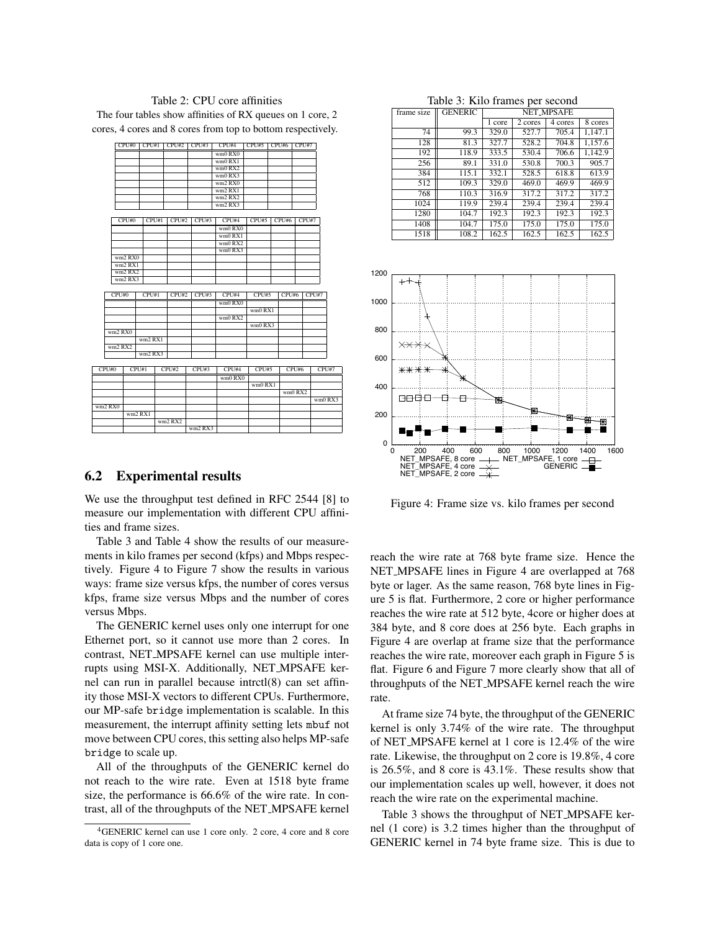### Table 2: CPU core affinities The four tables show affinities of RX queues on 1 core, 2

cores, 4 cores and 8 cores from top to bottom respectively.

|         | CPU#0   | CPU#1   | CPU#2   | CPU#3   | CPU#4        | CPU#5   | CPU#6 | CPU#7   |         |
|---------|---------|---------|---------|---------|--------------|---------|-------|---------|---------|
|         |         |         |         |         | $wm0$ RX $0$ |         |       |         |         |
|         |         |         |         |         | wm0 RX1      |         |       |         |         |
|         |         |         |         |         | wm0 RX2      |         |       |         |         |
|         |         |         |         |         | wm0 RX3      |         |       |         |         |
|         |         |         |         |         | wm2 RX0      |         |       |         |         |
|         |         |         |         |         | wm2 RX1      |         |       |         |         |
|         |         |         |         |         | wm2 RX2      |         |       |         |         |
|         |         |         |         |         | wm2 RX3      |         |       |         |         |
|         |         |         |         |         |              |         |       |         |         |
|         | CPU#0   | CPU#1   | CPU#2   | CPU#3   | CPU#4        | CPU#5   | CPU#6 | CPU#7   |         |
|         |         |         |         |         | wm0 RX0      |         |       |         |         |
|         |         |         |         |         | wm0 RX1      |         |       |         |         |
|         |         |         |         |         | wm0 RX2      |         |       |         |         |
|         |         |         |         |         | wm0 RX3      |         |       |         |         |
|         | wm2 RX0 |         |         |         |              |         |       |         |         |
|         | wm2 RX1 |         |         |         |              |         |       |         |         |
|         | wm2 RX2 |         |         |         |              |         |       |         |         |
|         | wm2 RX3 |         |         |         |              |         |       |         |         |
|         |         |         |         |         |              |         |       |         |         |
| CPU#0   |         | CPU#1   | CPU#2   | CPU#3   | CPU#4        | CPU#5   | CPU#6 |         | CPU#7   |
|         |         |         |         |         | $wm0$ RX $0$ |         |       |         |         |
|         |         |         |         |         |              | wm0 RX1 |       |         |         |
|         |         |         |         |         | wm0 RX2      |         |       |         |         |
|         |         |         |         |         |              | wm0 RX3 |       |         |         |
| wm2 RX0 |         |         |         |         |              |         |       |         |         |
|         |         | wm2 RX1 |         |         |              |         |       |         |         |
| wm2 RX2 |         |         |         |         |              |         |       |         |         |
|         |         | wm2 RX3 |         |         |              |         |       |         |         |
|         |         |         |         |         |              |         |       |         |         |
| CPU#0   | CPU#1   |         | CPU#2   | CPU#3   | CPU#4        | CPU#5   |       | CPU#6   | CPU#7   |
|         |         |         |         |         | wm0 RX0      |         |       |         |         |
|         |         |         |         |         |              | wm0 RX1 |       |         |         |
|         |         |         |         |         |              |         |       | wm0 RX2 |         |
|         |         |         |         |         |              |         |       |         | wm0 RX3 |
| wm2 RX0 |         |         |         |         |              |         |       |         |         |
|         | wm2 RX1 |         |         |         |              |         |       |         |         |
|         |         |         | wm2 RX2 |         |              |         |       |         |         |
|         |         |         |         | wm2 RX3 |              |         |       |         |         |
|         |         |         |         |         |              |         |       |         |         |

## 6.2 Experimental results

We use the throughput test defined in RFC 2544 [8] to measure our implementation with different CPU affinities and frame sizes.

Table 3 and Table 4 show the results of our measurements in kilo frames per second (kfps) and Mbps respectively. Figure 4 to Figure 7 show the results in various ways: frame size versus kfps, the number of cores versus kfps, frame size versus Mbps and the number of cores versus Mbps.

The GENERIC kernel uses only one interrupt for one Ethernet port, so it cannot use more than 2 cores. In contrast, NET MPSAFE kernel can use multiple interrupts using MSI-X. Additionally, NET MPSAFE kernel can run in parallel because intrctl(8) can set affinity those MSI-X vectors to different CPUs. Furthermore, our MP-safe bridge implementation is scalable. In this measurement, the interrupt affinity setting lets mbuf not move between CPU cores, this setting also helps MP-safe bridge to scale up.

All of the throughputs of the GENERIC kernel do not reach to the wire rate. Even at 1518 byte frame size, the performance is 66.6% of the wire rate. In contrast, all of the throughputs of the NET MPSAFE kernel

Table 3: Kilo frames per second

| frame size | <b>GENERIC</b> | NET_MPSAFE |         |         |         |  |
|------------|----------------|------------|---------|---------|---------|--|
|            |                | 1 core     | 2 cores | 4 cores | 8 cores |  |
| 74         | 99.3           | 329.0      | 527.7   | 705.4   | 1.147.1 |  |
| 128        | 81.3           | 327.7      | 528.2   | 704.8   | 1,157.6 |  |
| 192        | 118.9          | 333.5      | 530.4   | 706.6   | 1,142.9 |  |
| 256        | 89.1           | 331.0      | 530.8   | 700.3   | 905.7   |  |
| 384        | 115.1          | 332.1      | 528.5   | 618.8   | 613.9   |  |
| 512        | 109.3          | 329.0      | 469.0   | 469.9   | 469.9   |  |
| 768        | 110.3          | 316.9      | 317.2   | 317.2   | 317.2   |  |
| 1024       | 119.9          | 239.4      | 239.4   | 239.4   | 239.4   |  |
| 1280       | 104.7          | 192.3      | 192.3   | 192.3   | 192.3   |  |
| 1408       | 104.7          | 175.0      | 175.0   | 175.0   | 175.0   |  |
| 1518       | 108.2          | 162.5      | 162.5   | 162.5   | 162.5   |  |



Figure 4: Frame size vs. kilo frames per second

reach the wire rate at 768 byte frame size. Hence the NET MPSAFE lines in Figure 4 are overlapped at 768 byte or lager. As the same reason, 768 byte lines in Figure 5 is flat. Furthermore, 2 core or higher performance reaches the wire rate at 512 byte, 4core or higher does at 384 byte, and 8 core does at 256 byte. Each graphs in Figure 4 are overlap at frame size that the performance reaches the wire rate, moreover each graph in Figure 5 is flat. Figure 6 and Figure 7 more clearly show that all of throughputs of the NET MPSAFE kernel reach the wire rate.

At frame size 74 byte, the throughput of the GENERIC kernel is only 3.74% of the wire rate. The throughput of NET MPSAFE kernel at 1 core is 12.4% of the wire rate. Likewise, the throughput on 2 core is 19.8%, 4 core is 26.5%, and 8 core is 43.1%. These results show that our implementation scales up well, however, it does not reach the wire rate on the experimental machine.

Table 3 shows the throughput of NET MPSAFE kernel (1 core) is 3.2 times higher than the throughput of GENERIC kernel in 74 byte frame size. This is due to

<sup>4</sup>GENERIC kernel can use 1 core only. 2 core, 4 core and 8 core data is copy of 1 core one.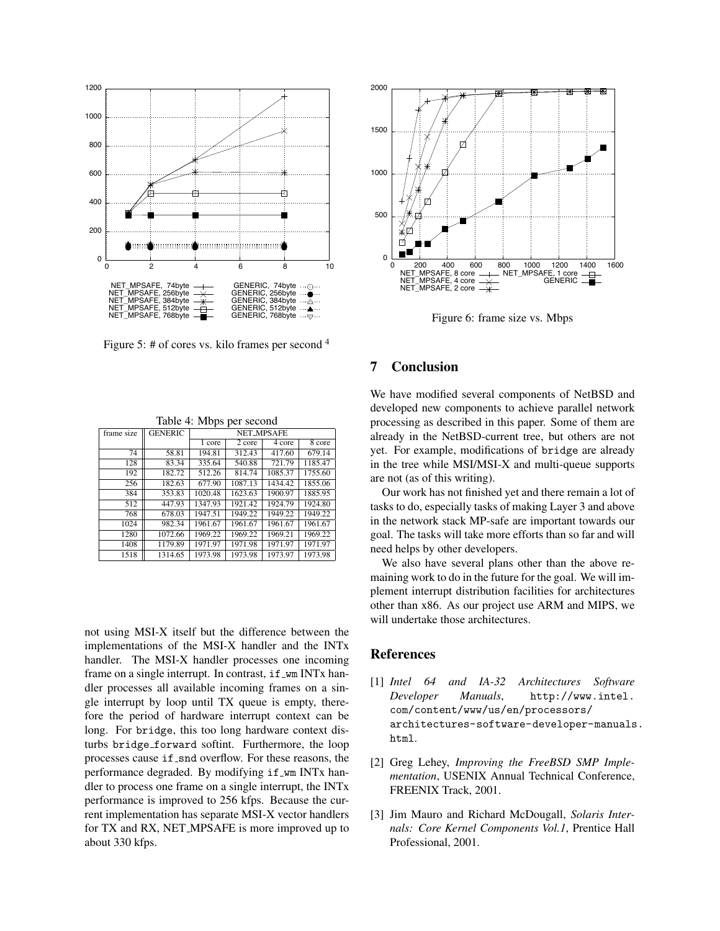

Figure 5: # of cores vs. kilo frames per second  $4$ 

| Table 4: Mbps per second |  |  |
|--------------------------|--|--|
|--------------------------|--|--|

| frame size | <b>GENERIC</b> | <b>NET_MPSAFE</b> |         |         |         |  |
|------------|----------------|-------------------|---------|---------|---------|--|
|            |                | 1 core            | 2 core  | 4 core  | 8 core  |  |
| 74         | 58.81          | 194.81            | 312.43  | 417.60  | 679.14  |  |
| 128        | 83.34          | 335.64            | 540.88  | 721.79  | 1185.47 |  |
| 192        | 182.72         | 512.26            | 814.74  | 1085.37 | 1755.60 |  |
| 256        | 182.63         | 677.90            | 1087.13 | 1434.42 | 1855.06 |  |
| 384        | 353.83         | 1020.48           | 1623.63 | 1900.97 | 1885.95 |  |
| 512        | 447.93         | 1347.93           | 1921.42 | 1924.79 | 1924.80 |  |
| 768        | 678.03         | 1947.51           | 1949.22 | 1949.22 | 1949.22 |  |
| 1024       | 982.34         | 1961.67           | 1961.67 | 1961.67 | 1961.67 |  |
| 1280       | 1072.66        | 1969.22           | 1969.22 | 1969.21 | 1969.22 |  |
| 1408       | 1179.89        | 1971.97           | 1971.98 | 1971.97 | 1971.97 |  |
| 1518       | 1314.65        | 1973.98           | 1973.98 | 1973.97 | 1973.98 |  |

not using MSI-X itself but the difference between the implementations of the MSI-X handler and the INTx handler. The MSI-X handler processes one incoming frame on a single interrupt. In contrast, if \_wm INTx handler processes all available incoming frames on a single interrupt by loop until TX queue is empty, therefore the period of hardware interrupt context can be long. For bridge, this too long hardware context disturbs bridge forward softint. Furthermore, the loop processes cause if snd overflow. For these reasons, the performance degraded. By modifying if wm INT<sub>x</sub> handler to process one frame on a single interrupt, the INTx performance is improved to 256 kfps. Because the current implementation has separate MSI-X vector handlers for TX and RX, NET MPSAFE is more improved up to about 330 kfps.



Figure 6: frame size vs. Mbps

### 7 Conclusion

We have modified several components of NetBSD and developed new components to achieve parallel network processing as described in this paper. Some of them are already in the NetBSD-current tree, but others are not yet. For example, modifications of bridge are already in the tree while MSI/MSI-X and multi-queue supports are not (as of this writing).

Our work has not finished yet and there remain a lot of tasks to do, especially tasks of making Layer 3 and above in the network stack MP-safe are important towards our goal. The tasks will take more efforts than so far and will need helps by other developers.

We also have several plans other than the above remaining work to do in the future for the goal. We will implement interrupt distribution facilities for architectures other than x86. As our project use ARM and MIPS, we will undertake those architectures.

## References

- [1] *Intel 64 and IA-32 Architectures Software Developer Manuals*, http://www.intel. com/content/www/us/en/processors/ architectures-software-developer-manuals. html.
- [2] Greg Lehey, *Improving the FreeBSD SMP Implementation*, USENIX Annual Technical Conference, FREENIX Track, 2001.
- [3] Jim Mauro and Richard McDougall, *Solaris Internals: Core Kernel Components Vol.1*, Prentice Hall Professional, 2001.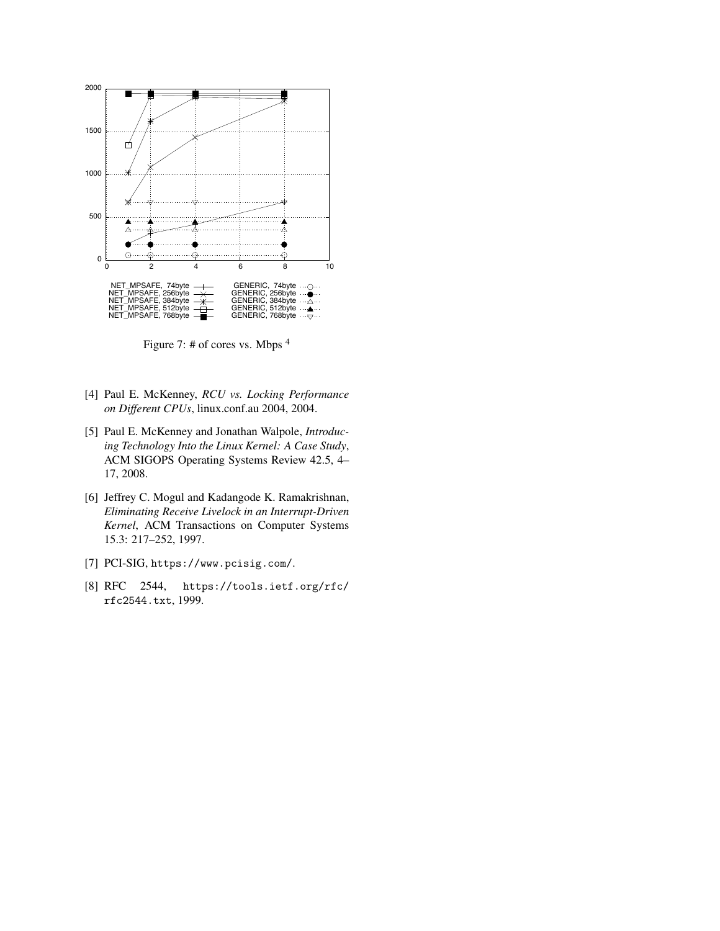

Figure 7: # of cores vs. Mbps <sup>4</sup>

- [4] Paul E. McKenney, *RCU vs. Locking Performance on Different CPUs*, linux.conf.au 2004, 2004.
- [5] Paul E. McKenney and Jonathan Walpole, *Introducing Technology Into the Linux Kernel: A Case Study*, ACM SIGOPS Operating Systems Review 42.5, 4– 17, 2008.
- [6] Jeffrey C. Mogul and Kadangode K. Ramakrishnan, *Eliminating Receive Livelock in an Interrupt-Driven Kernel*, ACM Transactions on Computer Systems 15.3: 217–252, 1997.
- [7] PCI-SIG, https://www.pcisig.com/.
- [8] RFC 2544, https://tools.ietf.org/rfc/ rfc2544.txt, 1999.